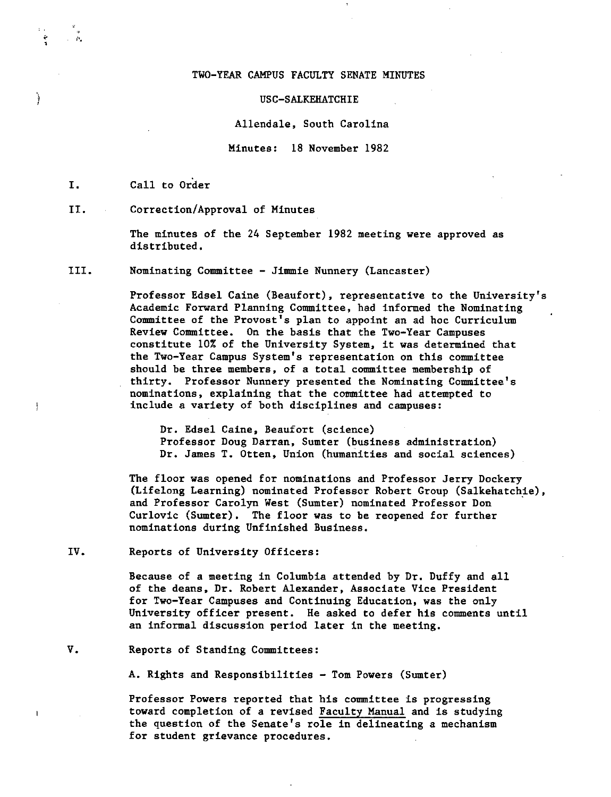## TWO-YEAR CAMPUS FACULTY SENATE MINUTES

## USC-SALKEHATCHIE

Allendale, South Carolina

Minutes: 18 November 1982

I, Call to Order

)

 $\frac{1}{2}$ 

II. Correction/Approval of Minutes

The minutes of the 24 September 1982 meeting **were** approved as distributed,

III. Nominating Committee - Jimmie Nunnery (Lancaster)

Professor Edsel Caine (Beaufort), representative to the University's Academic Forward Planning Committee, had informed the Nominating Committee of the Provost's plan to appoint an ad hoc Curriculum **Review** Committee. On the basis that the Two-Year Campuses constitute 10% of the University System, it was determined that the Two-Year Campus System's representation on this committee should be three members, of a total committee membership of thirty. Professor Nunnery presented the Nominating Committee's nominations, explaining that the committee had attempted to include a variety of both disciplines and campuses:

Dr. Edsel Caine, Beaufort (science) Professor Doug Darran, Sumter (business administration) Dr. James T. Otten, Union (humanities and social sciences)

The floor was opened for nominations and Professor Jerry Dockery (Lifelong Learning) nominated Professor Robert Group (Salkehatchie), and Professor Carolyn West (Sumter) nominated Professor Don Curlovic (Sumter), The floor was to be reopened for further nominations during Unfinished Business.

IV. Reports of University Officers:

Because of a meeting in Columbia attended by Dr. Duffy and all of the deans, Dr. Robert Alexander, Associate Vice President for Two-Year Campuses and Continuing Education, was the only University officer present, He asked to defer his comments until an informal discussion period later in the meeting,

v. Reports of Standing Committees:

A. Rights and Responsibilities - Tom Powers (Sumter)

Professor Powers reported that his committee is progressing toward completion of a revised Faculty Manual and is studying the question of the Senate's role in delineating a mechanism for student grievance procedures.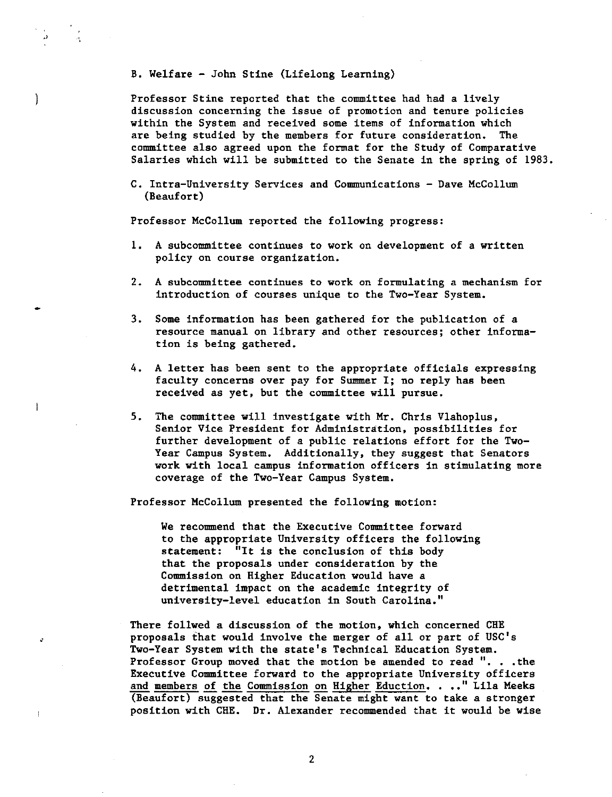## B. Welfare - John Stine (Lifelong Learning)

.,

Ì

 $\overline{1}$ 

Professor Stine reported that the committee had had a lively discussion concerning the issue of promotion and tenure policies within the System and received some items of information which are being studied by the members for future consideration. The committee also agreed upon the format for the Study of Comparative Salaries which will be submitted to the Senate in the spring of 1983.

C. Intra-University Services and Communications - Dave McCollum (Beaufort)

Professor McCollum reported the following progress:

- 1. A subcommittee continues to work on development of a written policy on course organization.
- 2. A subcommittee continues to work on formulating a mechanism for introduction of courses unique to the Two-Year System.
- 3. Some information has been gathered for the publication of a resource manual on library and other resources; other information is being gathered.
- 4. A letter has been sent to the appropriate officials expressing faculty concerns over pay for Summer I; no reply has been received as yet, but the committee will pursue.
- *5.* The committee will investigate with Mr. Chris Vlahoplus, Senior Vice President for Administration, possibilities for further development of a public relations effort for the Two-Year Campus System. Additionally, they suggest that Senators work with local campus information officers in stimulating more coverage of the Two-Year Campus System.

Professor McCollum presented the following motion:

**We** recommend that the Executive Committee forward to the appropriate University officers the following statement: "It is the conclusion of this body that the proposals under consideration by the Commission on Higher Education would have a detrimental impact on the academic integrity of university-level education in South Carolina."

There follwed a discussion of the motion, which concerned CHE proposals that would involve the merger of all or part of USC's Two-Year System with the state's Technical Education System. Professor Group moved that the motion be amended to read ". . . the Executive Committee forward to the appropriate University officers and members of the Commission on Higher Eduction. . .." Lila Meeks (Beaufort) suggested that the Senate might want to take a stronger position with CHE. Dr. Alexander recommended that it would be **wise**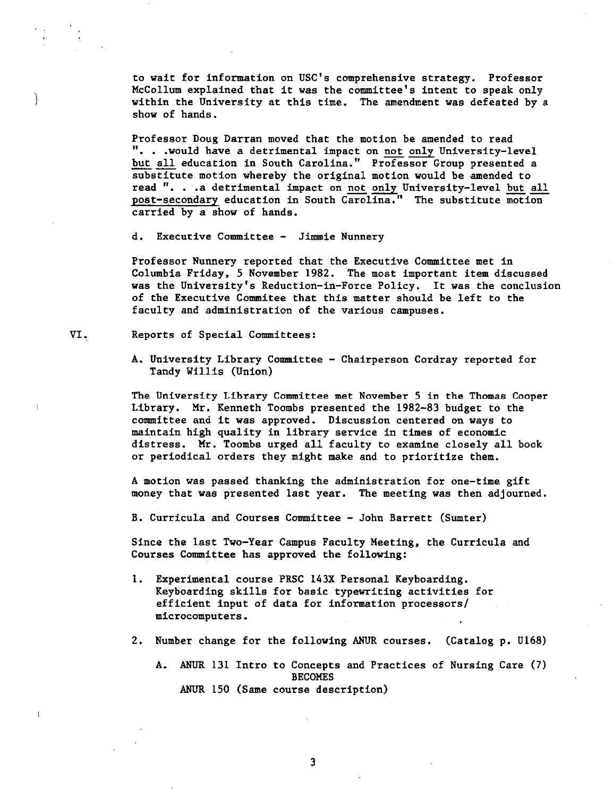to wait for information on USC's comprehensive strategy. Professor McCollum explained that it was the committee's intent to speak only within the University at this time. The amendment was defeated by a show of hands.

Professor Doug Darran moved that the motion be amended to read ". . . would have a detrimental impact on not only University-level but all education in South Carolina." Professor Group presented a substitute motion whereby the original motion would be amended to read ". . . a detrimental impact on not only University-level but all post-secondary education in South Carolina." The substitute motion carried by a show of hands.

d. Executive Committee - Jimmie Nunnery

Professor Nunnery reported that the Executive Committee met in Columbia Friday, 5 November 1982. The most important item discussed was the University's Reduction-in-Force Policy. It was the conclusion of the Executive Commitee that this matter should be left to the faculty and administration of the various campuses.

## VI. Reports of Special Committees:

l

I

A. University Library Committee - Chairperson Cordray reported for Tandy Willis (Union)

The University Library Committee met November 5 in the Thomas Cooper Library. Mr. Kenneth Toombs presented the 1982-83 budget to the committee and it was approved. Discussion centered on ways to maintain high quality in library service in times of economic distress. Mr. Toombs urged all faculty to examine closely all book or periodical orders they might make and to prioritize them.

A motion was passed thanking the administration for one-time gift money that was presented last year. The meeting was then adjourned.

B. Curricula and Courses Committee - John Barrett (Sumter)

Since the last Two-Year Campus Faculty Meeting, the Curricula and Courses Committee has approved the following:

- 1. Experimental course PRSC 143X Personal Keyboarding. Keyboarding skills for basic typewriting activities for efficient input of data for information processors/ microcomputers.
- 2. Number change for the following ANUR courses. (Catalog p. Ul68)
	- A. ANUR 131 Intro to Concepts and Practices of Nursing Care (7) BECOMES ANUR 150 (Same course description)

3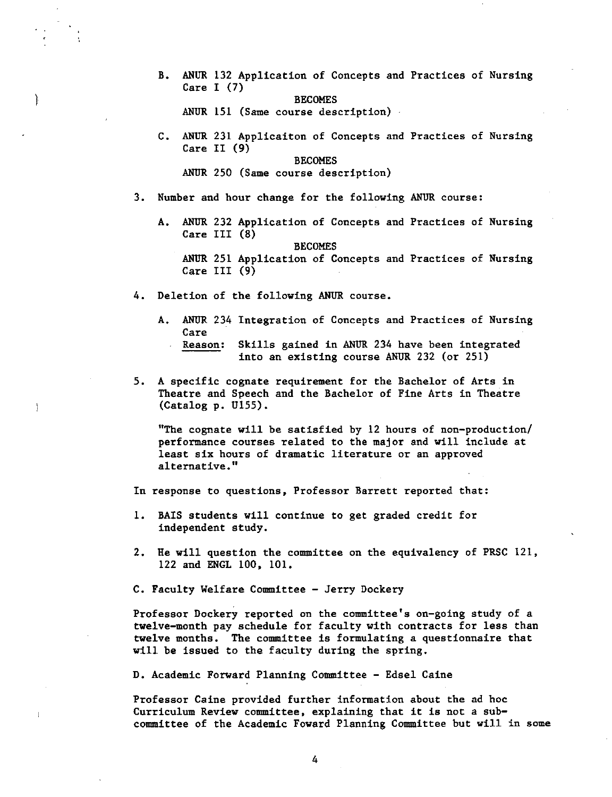B. ANUR 132 Application of Concepts and Practices of Nursing Care I (7)

BECOMES

ANUR 151 (Same course description)

C. ANUR 231 Applicaiton of Concepts and Practices of Nursing Care II (9)

**BECOMES** 

ANUR 250 (Same course description)

- 3. Number and hour change for the following ANUR course:
	- A. ANUR 232 Application of Concepts and Practices of Nursing Care III (8)

**BECOMES** 

ANUR 251 Application of Concepts and Practices of Nursing Care III (9)

- 4. Deletion of the following ANUR course.
	- A. ANUR 234 Integration of Concepts and Practices of Nursing Care
		- Reason: Skills gained in ANUR 234 have been integrated into an existing course ANUR 232 (or 251)
- 5. A specific cognate requirement for the Bachelor of Arts in Theatre and Speech and the Bachelor of Fine Arts in Theatre  $(Catalog p. U155)$ .

"The cognate will be satisfied by 12 hours of non-production/ performance courses related to the major and will include at least six hours of dramatic literature or an approved alternative."

In response to questions, Professor Barrett reported that:

- 1. **BAIS** students will continue to get graded credit for independent study.
- 2. He will question the committee on the equivalency of PRSC 121, 122 and ENGL 100, 101.

C. Faculty Welfare Committee - Jerry Dockery

Professor Dockery reported on the committee's on-going study of a twelve-month pay schedule for faculty with contracts for less than twelve months. The committee is formulating a questionnaire that will be issued to the faculty during the spring.

D. Academic Forward Planning Committee - Edsel Caine

Professor Caine provided further information about the ad hoc Curriculum Review committee, explaining that it is not a subcommittee of the Academic Foward Planning Committee but will in some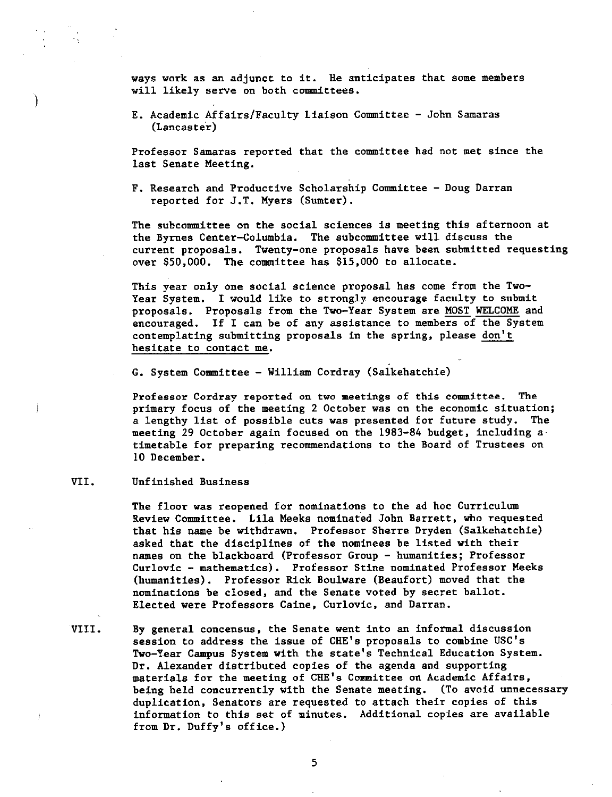ways work as an adjunct to it. He anticipates that some members will likely serve on both committees.

E. Academic Affairs/Faculty Liaison Committee - John Samaras (Lancaster)

Professor Samaras reported that the committee had not met since the last Senate Meeting.

F. Research and Productive Scholarship Committee - Doug Darran reported for J.T. Myers (Sumter).

The subcommittee on the social sciences is meeting this afternoon at the Byrnes Center-Columbia. The subcommittee will discuss the current proposals. Twenty-one proposals have been submitted requesting over \$50,000. The committee has \$15,000 to allocate.

This year only one social science proposal has come from the Two-Year System. I would like to strongly encourage faculty to submit proposals. Proposals from the Two-Year System are MOST WELCOME and encouraged. If I can be of any assistance to members of the System contemplating submitting proposals in the spring, please don't hesitate to contact me.

G. System Committee - William Cordray (Salkehatchie)

Professor Cordray reported on two meetings of this committee. The primary focus of the meeting 2 October was on the economic situation; a lengthy list of possible cuts was presented for future study. The meeting 29 October again focused on the 1983-84 budget, including  $a$ timetable for preparing recommendations to the Board of Trustees on 10 December.

VII. Unfinished Business

}

The floor was reopened for nominations to the ad hoc Curriculum Review Committee. Lila Meeks nominated John Barrett, who requested that his name be withdrawn. Professor Sherre Dryden (Salkehatchie) asked that the disciplines of the nominees be listed with their names on the blackboard (Professor Group - humanities; Professor Curlovic - mathematics). Professor Stine nominated Professor Meeks (humanities). Professor Rick Boulware (Beaufort) moved that the nominations be closed, and the Senate voted by secret ballot. Elected **were** Professors Caine, Curlovic, and Darran.

VIII. By general concensus, the Senate went into an informal discussion session to address the issue of CHE's proposals to combine USC's Two-Year Campus System with the state's Technical Education System. Dr. Alexander distributed copies of the agenda and supporting materials for the meeting of CHE's Committee on Academic Affairs, being held concurrently with the Senate meeting. (To avoid unnecessary duplication, Senators are requested to attach their copies of this information to this set of minutes. Additional copies are available from Dr. Duffy's office.)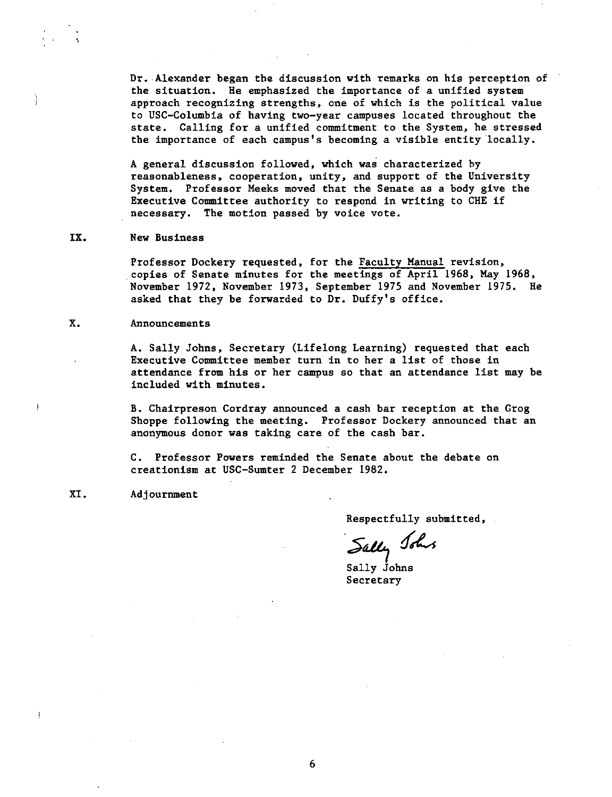Dr. Alexander began the discussion with remarks on his perception of the situation. He emphasized the importance of a unified system approach recognizing strengths, one of which is the political value to USC-Columbia of having two-year campuses located throughout the state. Calling for a unified commitment to the System, he stressed the importance of each campus's becoming a visible entity locally.

A general discussion followed, which was characterized by reasonableness, cooperation, unity, and support of the University System. Professor Meeks moved that the Senate as a body give the Executive Committee authority to respond in writing to CHE if necessary. The motion passed by voice vote.

## **IX. New** Business

Professor Dockery requested, for the Faculty Manual revision, copies of Senate minutes for the meetings of April 1968, May 1968, November 1972, November 1973, September 1975 and November 1975. He asked that they be forwarded to Dr. Duffy's office.

## x. Announcements

A. Sally Johns, Secretary (Lifelong Learning) requested that each Executive Committee member turn in to her a list of those in attendance from his or her campus so that an attendance list may be included with minutes.

B. Chairpreson Cordray announced a cash bar reception at the Grog Shoppe following the meeting. Professor Dockery announced that an anonymous donor was taking care of the cash bar.

C. Professor Powers reminded the Senate about the debate on creationism at USC-Sumter 2 December 1982.

## XI. Adjournment

Respectfully submitted,

Sally Johns

Sally Johns Secretary